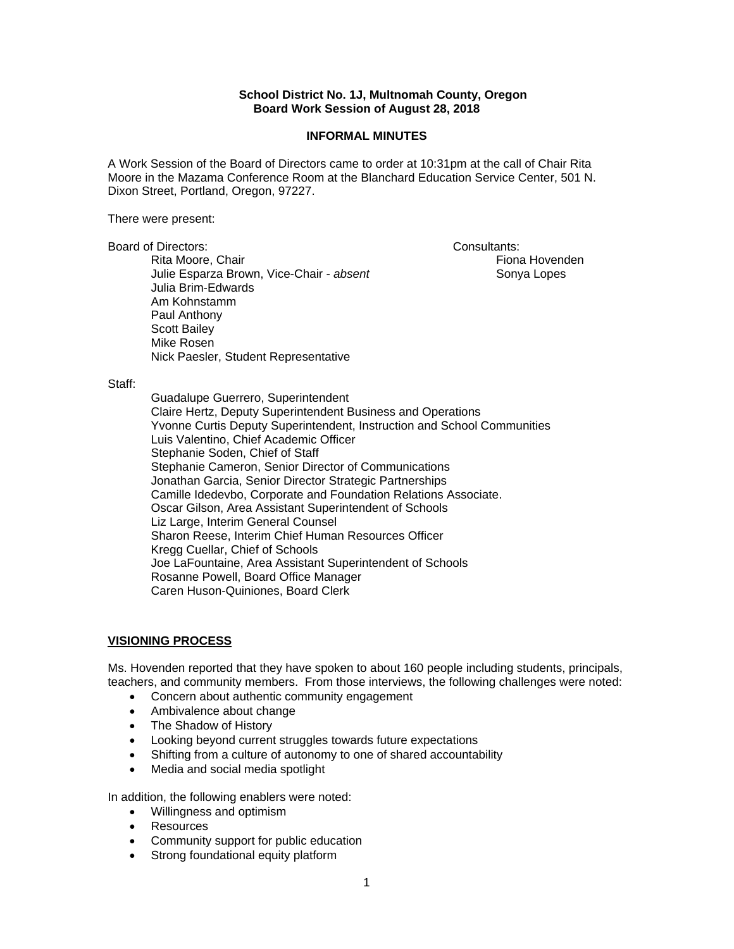## **School District No. 1J, Multnomah County, Oregon Board Work Session of August 28, 2018**

#### **INFORMAL MINUTES**

A Work Session of the Board of Directors came to order at 10:31pm at the call of Chair Rita Moore in the Mazama Conference Room at the Blanchard Education Service Center, 501 N. Dixon Street, Portland, Oregon, 97227.

There were present:

Board of Directors: Consultants: Consultants:

Rita Moore, Chair **Fiona Hovenden** Hovenden Julie Esparza Brown, Vice-Chair - *absent* Sonya Lopes Julia Brim-Edwards Am Kohnstamm Paul Anthony Scott Bailey Mike Rosen Nick Paesler, Student Representative

#### Staff:

 Guadalupe Guerrero, Superintendent Claire Hertz, Deputy Superintendent Business and Operations Yvonne Curtis Deputy Superintendent, Instruction and School Communities Luis Valentino, Chief Academic Officer Stephanie Soden, Chief of Staff Stephanie Cameron, Senior Director of Communications Jonathan Garcia, Senior Director Strategic Partnerships Camille Idedevbo, Corporate and Foundation Relations Associate. Oscar Gilson, Area Assistant Superintendent of Schools Liz Large, Interim General Counsel Sharon Reese, Interim Chief Human Resources Officer Kregg Cuellar, Chief of Schools Joe LaFountaine, Area Assistant Superintendent of Schools Rosanne Powell, Board Office Manager Caren Huson-Quiniones, Board Clerk

## **VISIONING PROCESS**

Ms. Hovenden reported that they have spoken to about 160 people including students, principals, teachers, and community members. From those interviews, the following challenges were noted:

- Concern about authentic community engagement
- Ambivalence about change
- The Shadow of History
- Looking beyond current struggles towards future expectations
- Shifting from a culture of autonomy to one of shared accountability
- Media and social media spotlight

In addition, the following enablers were noted:

- Willingness and optimism
- Resources
- Community support for public education
- Strong foundational equity platform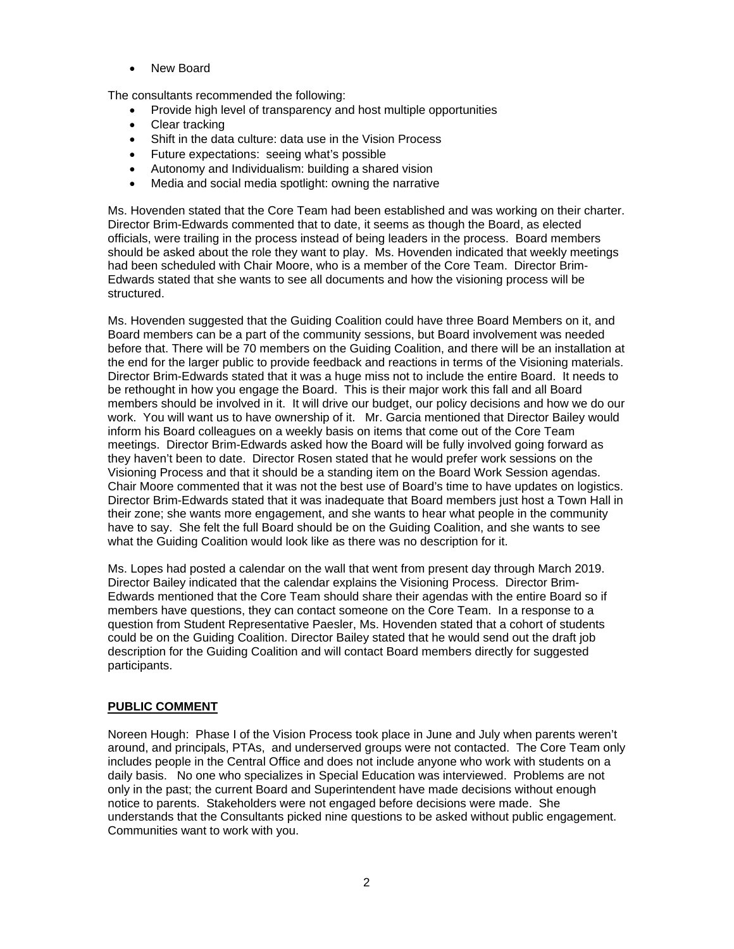New Board

The consultants recommended the following:

- Provide high level of transparency and host multiple opportunities
- Clear tracking
- Shift in the data culture: data use in the Vision Process
- Future expectations: seeing what's possible
- Autonomy and Individualism: building a shared vision
- Media and social media spotlight: owning the narrative

Ms. Hovenden stated that the Core Team had been established and was working on their charter. Director Brim-Edwards commented that to date, it seems as though the Board, as elected officials, were trailing in the process instead of being leaders in the process. Board members should be asked about the role they want to play. Ms. Hovenden indicated that weekly meetings had been scheduled with Chair Moore, who is a member of the Core Team. Director Brim-Edwards stated that she wants to see all documents and how the visioning process will be structured.

Ms. Hovenden suggested that the Guiding Coalition could have three Board Members on it, and Board members can be a part of the community sessions, but Board involvement was needed before that. There will be 70 members on the Guiding Coalition, and there will be an installation at the end for the larger public to provide feedback and reactions in terms of the Visioning materials. Director Brim-Edwards stated that it was a huge miss not to include the entire Board. It needs to be rethought in how you engage the Board. This is their major work this fall and all Board members should be involved in it. It will drive our budget, our policy decisions and how we do our work. You will want us to have ownership of it. Mr. Garcia mentioned that Director Bailey would inform his Board colleagues on a weekly basis on items that come out of the Core Team meetings. Director Brim-Edwards asked how the Board will be fully involved going forward as they haven't been to date. Director Rosen stated that he would prefer work sessions on the Visioning Process and that it should be a standing item on the Board Work Session agendas. Chair Moore commented that it was not the best use of Board's time to have updates on logistics. Director Brim-Edwards stated that it was inadequate that Board members just host a Town Hall in their zone; she wants more engagement, and she wants to hear what people in the community have to say. She felt the full Board should be on the Guiding Coalition, and she wants to see what the Guiding Coalition would look like as there was no description for it.

Ms. Lopes had posted a calendar on the wall that went from present day through March 2019. Director Bailey indicated that the calendar explains the Visioning Process. Director Brim-Edwards mentioned that the Core Team should share their agendas with the entire Board so if members have questions, they can contact someone on the Core Team. In a response to a question from Student Representative Paesler, Ms. Hovenden stated that a cohort of students could be on the Guiding Coalition. Director Bailey stated that he would send out the draft job description for the Guiding Coalition and will contact Board members directly for suggested participants.

## **PUBLIC COMMENT**

Noreen Hough: Phase I of the Vision Process took place in June and July when parents weren't around, and principals, PTAs, and underserved groups were not contacted. The Core Team only includes people in the Central Office and does not include anyone who work with students on a daily basis. No one who specializes in Special Education was interviewed. Problems are not only in the past; the current Board and Superintendent have made decisions without enough notice to parents. Stakeholders were not engaged before decisions were made. She understands that the Consultants picked nine questions to be asked without public engagement. Communities want to work with you.